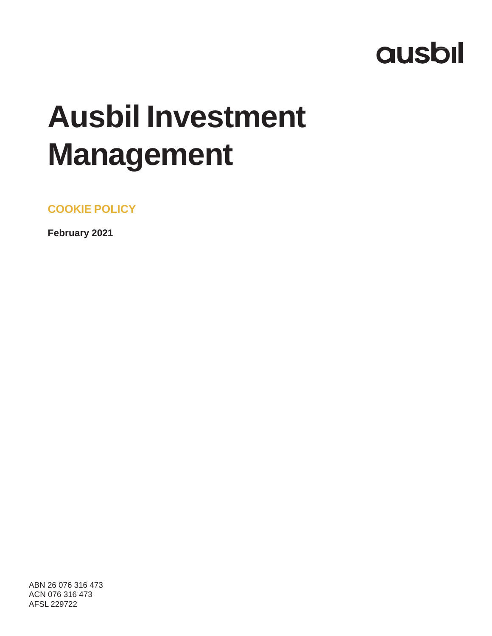# **ausbil**

# **Ausbil Investment Management**

**COOKIE POLICY**

**February 2021**

ABN 26 076 316 473 ACN 076 316 473 AFSL 229722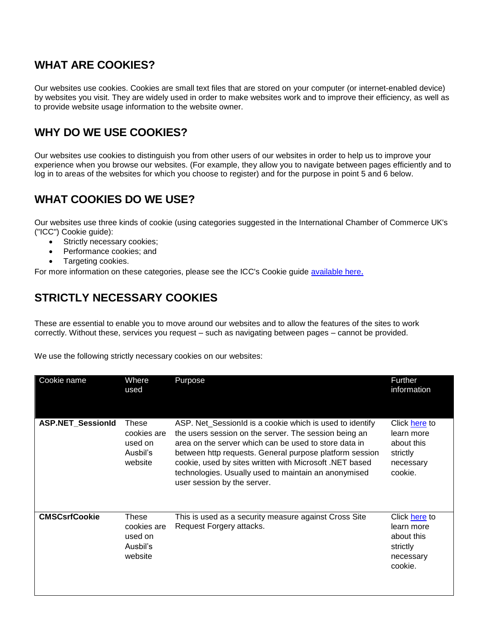#### **WHAT ARE COOKIES?**

Our websites use cookies. Cookies are small text files that are stored on your computer (or internet-enabled device) by websites you visit. They are widely used in order to make websites work and to improve their efficiency, as well as to provide website usage information to the website owner.

### **WHY DO WE USE COOKIES?**

Our websites use cookies to distinguish you from other users of our websites in order to help us to improve your experience when you browse our websites. (For example, they allow you to navigate between pages efficiently and to log in to areas of the websites for which you choose to register) and for the purpose in point 5 and 6 below.

## **WHAT COOKIES DO WE USE?**

Our websites use three kinds of cookie (using categories suggested in the International Chamber of Commerce UK's ("ICC") Cookie guide):

- Strictly necessary cookies;
- Performance cookies; and
- Targeting cookies.

For more information on these categories, please see the ICC's Cookie guide [available here](https://www.cookielaw.org/media/1096/icc_uk_cookiesguide_revnov.pdf).

# **STRICTLY NECESSARY COOKIES**

These are essential to enable you to move around our websites and to allow the features of the sites to work correctly. Without these, services you request – such as navigating between pages – cannot be provided.

We use the following strictly necessary cookies on our websites:

| Cookie name              | Where<br>used                                          | Purpose                                                                                                                                                                                                                                                                                                                                                                                 | Further<br>information                                                        |
|--------------------------|--------------------------------------------------------|-----------------------------------------------------------------------------------------------------------------------------------------------------------------------------------------------------------------------------------------------------------------------------------------------------------------------------------------------------------------------------------------|-------------------------------------------------------------------------------|
| <b>ASP.NET_SessionId</b> | These<br>cookies are<br>used on<br>Ausbil's<br>website | ASP. Net_SessionId is a cookie which is used to identify<br>the users session on the server. The session being an<br>area on the server which can be used to store data in<br>between http requests. General purpose platform session<br>cookie, used by sites written with Microsoft .NET based<br>technologies. Usually used to maintain an anonymised<br>user session by the server. | Click here to<br>learn more<br>about this<br>strictly<br>necessary<br>cookie. |
| <b>CMSCsrfCookie</b>     | These<br>cookies are<br>used on<br>Ausbil's<br>website | This is used as a security measure against Cross Site<br>Request Forgery attacks.                                                                                                                                                                                                                                                                                                       | Click here to<br>learn more<br>about this<br>strictly<br>necessary<br>cookie. |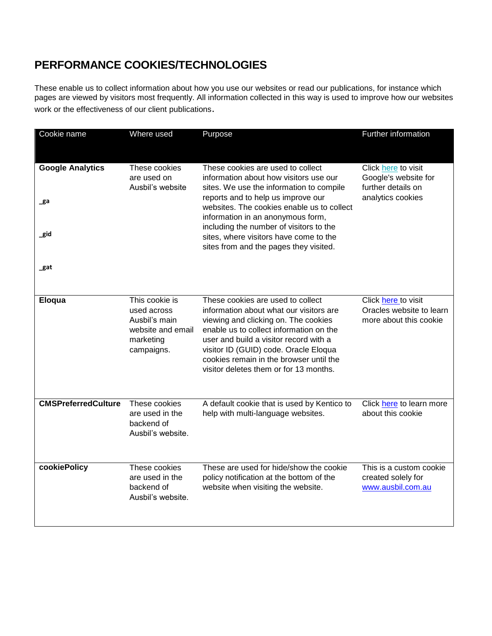# **PERFORMANCE COOKIES/TECHNOLOGIES**

These enable us to collect information about how you use our websites or read our publications, for instance which pages are viewed by visitors most frequently. All information collected in this way is used to improve how our websites work or the effectiveness of our client publications.

| Cookie name                | Where used                                                                                     | Purpose                                                                                                                                                                                                                                                                                                                                 | Further information                                                       |  |
|----------------------------|------------------------------------------------------------------------------------------------|-----------------------------------------------------------------------------------------------------------------------------------------------------------------------------------------------------------------------------------------------------------------------------------------------------------------------------------------|---------------------------------------------------------------------------|--|
| <b>Google Analytics</b>    | These cookies<br>are used on<br>Ausbil's website                                               | These cookies are used to collect<br>information about how visitors use our<br>sites. We use the information to compile                                                                                                                                                                                                                 | Click here to visit<br>Google's website for<br>further details on         |  |
| _ga                        |                                                                                                | reports and to help us improve our<br>websites. The cookies enable us to collect<br>information in an anonymous form,<br>including the number of visitors to the                                                                                                                                                                        | analytics cookies                                                         |  |
| _gid                       |                                                                                                | sites, where visitors have come to the<br>sites from and the pages they visited.                                                                                                                                                                                                                                                        |                                                                           |  |
| _gat                       |                                                                                                |                                                                                                                                                                                                                                                                                                                                         |                                                                           |  |
| Eloqua                     | This cookie is<br>used across<br>Ausbil's main<br>website and email<br>marketing<br>campaigns. | These cookies are used to collect<br>information about what our visitors are<br>viewing and clicking on. The cookies<br>enable us to collect information on the<br>user and build a visitor record with a<br>visitor ID (GUID) code. Oracle Eloqua<br>cookies remain in the browser until the<br>visitor deletes them or for 13 months. | Click here to visit<br>Oracles website to learn<br>more about this cookie |  |
| <b>CMSPreferredCulture</b> | These cookies<br>are used in the<br>backend of<br>Ausbil's website.                            | A default cookie that is used by Kentico to<br>help with multi-language websites.                                                                                                                                                                                                                                                       | Click here to learn more<br>about this cookie                             |  |
| cookiePolicy               | These cookies<br>are used in the<br>backend of<br>Ausbil's website.                            | These are used for hide/show the cookie<br>policy notification at the bottom of the<br>website when visiting the website.                                                                                                                                                                                                               | This is a custom cookie<br>created solely for<br>www.ausbil.com.au        |  |